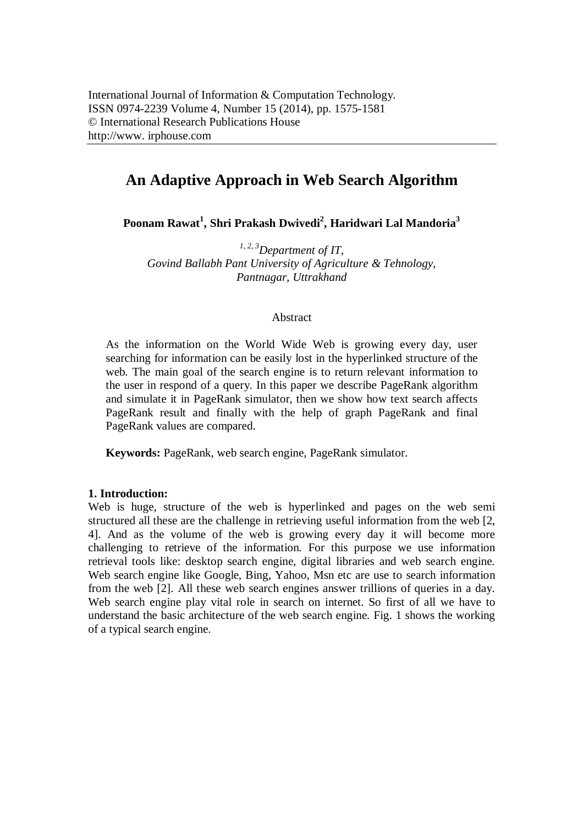# **An Adaptive Approach in Web Search Algorithm**

**Poonam Rawat<sup>1</sup> , Shri Prakash Dwivedi<sup>2</sup> , Haridwari Lal Mandoria<sup>3</sup>**

*1, 2, 3Department of IT, Govind Ballabh Pant University of Agriculture & Tehnology, Pantnagar, Uttrakhand*

## Abstract

As the information on the World Wide Web is growing every day, user searching for information can be easily lost in the hyperlinked structure of the web. The main goal of the search engine is to return relevant information to the user in respond of a query. In this paper we describe PageRank algorithm and simulate it in PageRank simulator, then we show how text search affects PageRank result and finally with the help of graph PageRank and final PageRank values are compared.

**Keywords:** PageRank, web search engine, PageRank simulator.

# **1. Introduction:**

Web is huge, structure of the web is hyperlinked and pages on the web semi structured all these are the challenge in retrieving useful information from the web [2, 4]. And as the volume of the web is growing every day it will become more challenging to retrieve of the information. For this purpose we use information retrieval tools like: desktop search engine, digital libraries and web search engine. Web search engine like Google, Bing, Yahoo, Msn etc are use to search information from the web [2]. All these web search engines answer trillions of queries in a day. Web search engine play vital role in search on internet. So first of all we have to understand the basic architecture of the web search engine. Fig. 1 shows the working of a typical search engine.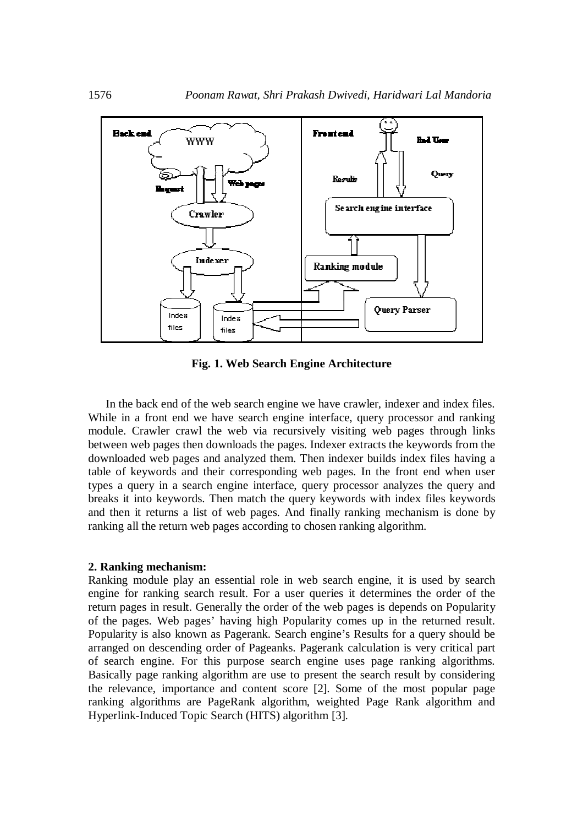

**Fig. 1. Web Search Engine Architecture**

In the back end of the web search engine we have crawler, indexer and index files. While in a front end we have search engine interface, query processor and ranking module. Crawler crawl the web via recursively visiting web pages through links between web pages then downloads the pages. Indexer extracts the keywords from the downloaded web pages and analyzed them. Then indexer builds index files having a table of keywords and their corresponding web pages. In the front end when user types a query in a search engine interface, query processor analyzes the query and breaks it into keywords. Then match the query keywords with index files keywords and then it returns a list of web pages. And finally ranking mechanism is done by ranking all the return web pages according to chosen ranking algorithm.

#### **2. Ranking mechanism:**

Ranking module play an essential role in web search engine, it is used by search engine for ranking search result. For a user queries it determines the order of the return pages in result. Generally the order of the web pages is depends on Popularity of the pages. Web pages' having high Popularity comes up in the returned result. Popularity is also known as Pagerank. Search engine's Results for a query should be arranged on descending order of Pageanks. Pagerank calculation is very critical part of search engine. For this purpose search engine uses page ranking algorithms. Basically page ranking algorithm are use to present the search result by considering the relevance, importance and content score [2]. Some of the most popular page ranking algorithms are PageRank algorithm, weighted Page Rank algorithm and Hyperlink-Induced Topic Search (HITS) algorithm [3].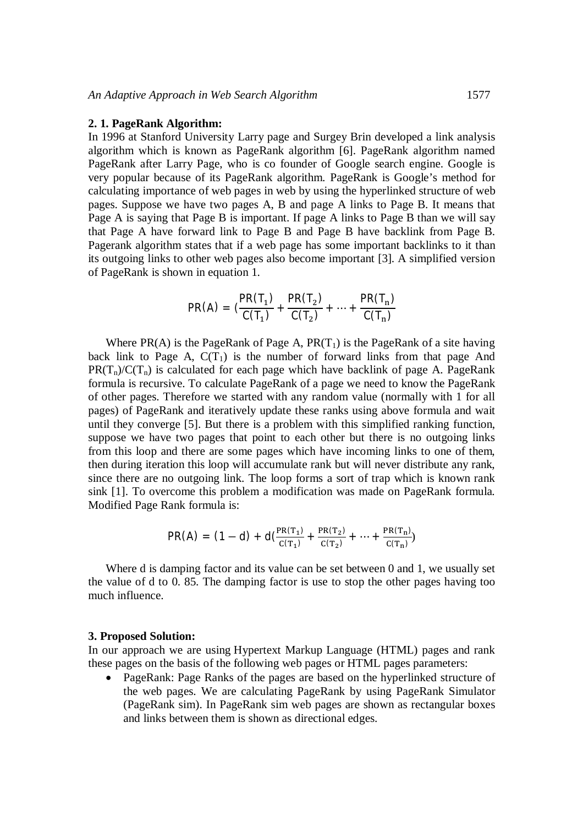### **2. 1. PageRank Algorithm:**

In 1996 at Stanford University Larry page and Surgey Brin developed a link analysis algorithm which is known as PageRank algorithm [6]. PageRank algorithm named PageRank after Larry Page, who is co founder of Google search engine. Google is very popular because of its PageRank algorithm. PageRank is Google's method for calculating importance of web pages in web by using the hyperlinked structure of web pages. Suppose we have two pages A, B and page A links to Page B. It means that Page A is saying that Page B is important. If page A links to Page B than we will say that Page A have forward link to Page B and Page B have backlink from Page B. Pagerank algorithm states that if a web page has some important backlinks to it than its outgoing links to other web pages also become important [3]. A simplified version of PageRank is shown in equation 1.

$$
PR(A) = \left(\frac{PR(T_1)}{C(T_1)} + \frac{PR(T_2)}{C(T_2)} + \dots + \frac{PR(T_n)}{C(T_n)}\right)
$$

Where PR(A) is the PageRank of Page A,  $PR(T_1)$  is the PageRank of a site having back link to Page A,  $C(T_1)$  is the number of forward links from that page And  $PR(T_n)/C(T_n)$  is calculated for each page which have backlink of page A. PageRank formula is recursive. To calculate PageRank of a page we need to know the PageRank of other pages. Therefore we started with any random value (normally with 1 for all pages) of PageRank and iteratively update these ranks using above formula and wait until they converge [5]. But there is a problem with this simplified ranking function, suppose we have two pages that point to each other but there is no outgoing links from this loop and there are some pages which have incoming links to one of them, then during iteration this loop will accumulate rank but will never distribute any rank, since there are no outgoing link. The loop forms a sort of trap which is known rank sink [1]. To overcome this problem a modification was made on PageRank formula. Modified Page Rank formula is:

$$
PR(A) = (1-d) + d\left(\frac{PR(T_1)}{C(T_1)} + \frac{PR(T_2)}{C(T_2)} + \dots + \frac{PR(T_n)}{C(T_n)}\right)
$$

Where d is damping factor and its value can be set between 0 and 1, we usually set the value of d to 0. 85. The damping factor is use to stop the other pages having too much influence.

#### **3. Proposed Solution:**

In our approach we are using Hypertext Markup Language (HTML) pages and rank these pages on the basis of the following web pages or HTML pages parameters:

 PageRank: Page Ranks of the pages are based on the hyperlinked structure of the web pages. We are calculating PageRank by using PageRank Simulator (PageRank sim). In PageRank sim web pages are shown as rectangular boxes and links between them is shown as directional edges.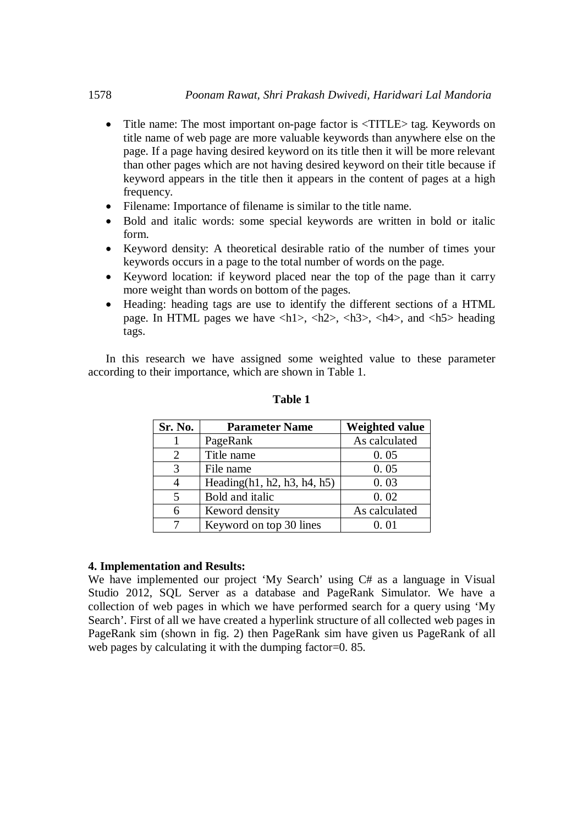- Title name: The most important on-page factor is  $\langle TITLE \rangle$  tag. Keywords on title name of web page are more valuable keywords than anywhere else on the page. If a page having desired keyword on its title then it will be more relevant than other pages which are not having desired keyword on their title because if keyword appears in the title then it appears in the content of pages at a high frequency.
- Filename: Importance of filename is similar to the title name.
- Bold and italic words: some special keywords are written in bold or italic form.
- Keyword density: A theoretical desirable ratio of the number of times your keywords occurs in a page to the total number of words on the page.
- Keyword location: if keyword placed near the top of the page than it carry more weight than words on bottom of the pages.
- Heading: heading tags are use to identify the different sections of a HTML page. In HTML pages we have  $\langle h1 \rangle$ ,  $\langle h2 \rangle$ ,  $\langle h3 \rangle$ ,  $\langle h4 \rangle$ , and  $\langle h5 \rangle$  heading tags.

In this research we have assigned some weighted value to these parameter according to their importance, which are shown in Table 1.

| Sr. No.                     | <b>Parameter Name</b>          | <b>Weighted value</b> |
|-----------------------------|--------------------------------|-----------------------|
|                             | PageRank                       | As calculated         |
| $\mathcal{D}_{\mathcal{L}}$ | Title name                     | 0.05                  |
| 3                           | File name                      | 0.05                  |
| 4                           | Heading $(h1, h2, h3, h4, h5)$ | 0.03                  |
| 5                           | Bold and italic                | 0.02                  |
| 6                           | Keword density                 | As calculated         |
|                             | Keyword on top 30 lines        | 0.01                  |

**Table 1**

## **4. Implementation and Results:**

We have implemented our project 'My Search' using C# as a language in Visual Studio 2012, SQL Server as a database and PageRank Simulator. We have a collection of web pages in which we have performed search for a query using 'My Search'. First of all we have created a hyperlink structure of all collected web pages in PageRank sim (shown in fig. 2) then PageRank sim have given us PageRank of all web pages by calculating it with the dumping factor=0. 85.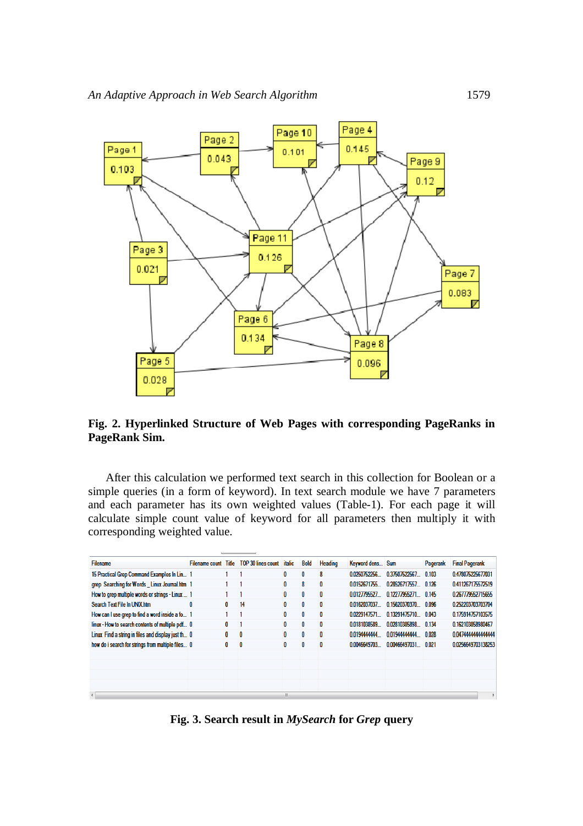

# **Fig. 2. Hyperlinked Structure of Web Pages with corresponding PageRanks in PageRank Sim.**

After this calculation we performed text search in this collection for Boolean or a simple queries (in a form of keyword). In text search module we have 7 parameters and each parameter has its own weighted values (Table-1). For each page it will calculate simple count value of keyword for all parameters then multiply it with corresponding weighted value.

| <b>Filename</b>                                    | <b>Filename count</b> | Title | <b>TOP 30 lines count</b> | <i>italic</i> | <b>Bold</b>  | Heading | Keyword dens Sum |               | Pagerank | <b>Final Pagerank</b> |
|----------------------------------------------------|-----------------------|-------|---------------------------|---------------|--------------|---------|------------------|---------------|----------|-----------------------|
| 15 Practical Grep Command Examples In Lin 1        |                       |       |                           | 0             | 0            | 8       | 0.0250752256     | 0.37507522567 | 0.103    | 0.478075225677031     |
| grep Searching for Words Linux Journal.htm 1       |                       |       |                           | 0             | 8            | 0       | 0.0152671755     | 0.28526717557 | 0.126    | 0.411267175572519     |
| How to grep multiple words or strings - Linux  1   |                       |       |                           | 0             | $\mathbf{0}$ | 0       | 0.0127795527     | 0.12277955271 | 0.145    | 0.267779552715655     |
| Search Text File In UNIX htm                       | 0                     | 0     | 14                        | 0             | 0            | 0       | 0.0162037037     | 0.15620370370 | 0.096    | 0.252203703703704     |
| How can I use grep to find a word inside a fo 1    |                       |       |                           | 0             | 0            | 0       | 0.0229147571     | 0.13291475710 | 0.043    | 0.175914757103575     |
| linux - How to search contents of multiple pdf 0   |                       | 0     |                           | 0             | 0            | 0       | 0.0181038589     | 0.02810385898 | 0.134    | 0.162103858980467     |
| Linux Find a string in files and display just th 0 |                       | 0     | 0                         | 0             | $\mathbf{0}$ | 0       | 0.0194444444     | 0.01944444444 | 0.028    | 0.0474444444444444    |
| how do i search for strings from multiple files 0  |                       | 0     | 0                         | 0             | 0            | 0       | 0.0046649703     | 0.00466497031 | 0.021    | 0.0256649703138253    |
|                                                    |                       |       |                           |               |              |         |                  |               |          |                       |
|                                                    |                       |       |                           |               |              |         |                  |               |          |                       |
|                                                    |                       |       |                           |               |              |         |                  |               |          |                       |
|                                                    |                       |       |                           |               |              |         |                  |               |          |                       |
| III.<br>$\overline{4}$                             |                       |       |                           |               |              |         |                  |               |          |                       |

**Fig. 3. Search result in** *MySearch* **for** *Grep* **query**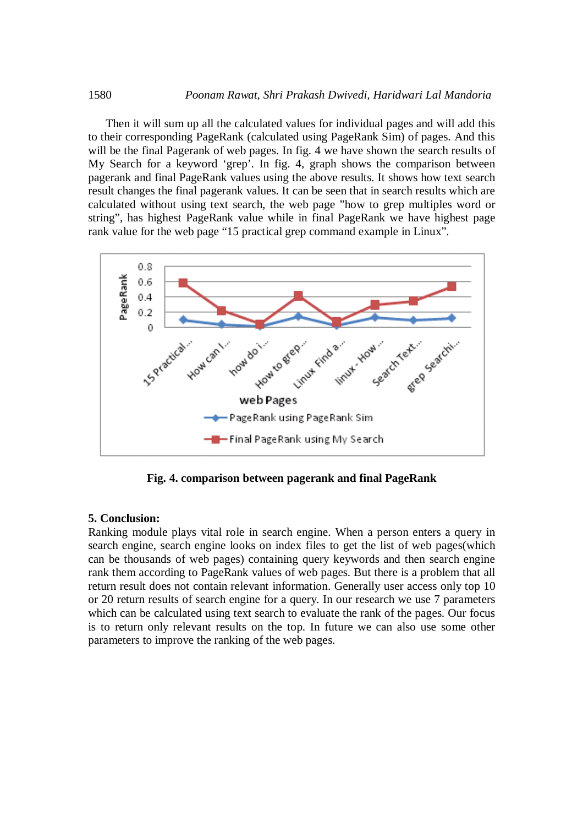Then it will sum up all the calculated values for individual pages and will add this to their corresponding PageRank (calculated using PageRank Sim) of pages. And this will be the final Pagerank of web pages. In fig. 4 we have shown the search results of My Search for a keyword 'grep'. In fig. 4, graph shows the comparison between pagerank and final PageRank values using the above results. It shows how text search result changes the final pagerank values. It can be seen that in search results which are calculated without using text search, the web page "how to grep multiples word or string", has highest PageRank value while in final PageRank we have highest page rank value for the web page "15 practical grep command example in Linux".



**Fig. 4. comparison between pagerank and final PageRank**

# **5. Conclusion:**

Ranking module plays vital role in search engine. When a person enters a query in search engine, search engine looks on index files to get the list of web pages(which can be thousands of web pages) containing query keywords and then search engine rank them according to PageRank values of web pages. But there is a problem that all return result does not contain relevant information. Generally user access only top 10 or 20 return results of search engine for a query. In our research we use 7 parameters which can be calculated using text search to evaluate the rank of the pages. Our focus is to return only relevant results on the top. In future we can also use some other parameters to improve the ranking of the web pages.